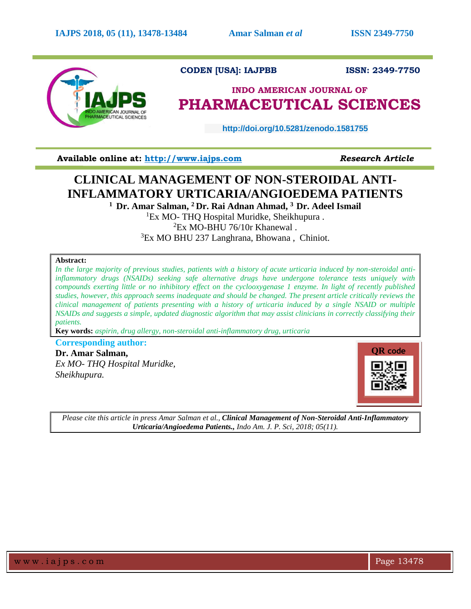

### **CODEN [USA]: IAJPBB ISSN: 2349-7750**

## **INDO AMERICAN JOURNAL OF PHARMACEUTICAL SCIENCES**

 **http://doi.org/10.5281/zenodo.1581755** 

**Available online at: [http://www.iajps.com](http://www.iajps.com/)** *Research Article*

# **CLINICAL MANAGEMENT OF NON-STEROIDAL ANTI-INFLAMMATORY URTICARIA/ANGIOEDEMA PATIENTS**

**<sup>1</sup>Dr. Amar Salman, <sup>2</sup> Dr. Rai Adnan Ahmad, <sup>3</sup>Dr. Adeel Ismail**

 ${}^{1}Ex$  MO- THO Hospital Muridke, Sheikhupura .

 ${}^{2}Ex$  MO-BHU 76/10r Khanewal.

<sup>3</sup>Ex MO BHU 237 Langhrana, Bhowana, Chiniot.

#### **Abstract:**

*In the large majority of previous studies, patients with a history of acute urticaria induced by non-steroidal antiinflammatory drugs (NSAIDs) seeking safe alternative drugs have undergone tolerance tests uniquely with compounds exerting little or no inhibitory effect on the cyclooxygenase 1 enzyme. In light of recently published studies, however, this approach seems inadequate and should be changed. The present article critically reviews the clinical management of patients presenting with a history of urticaria induced by a single NSAID or multiple NSAIDs and suggests a simple, updated diagnostic algorithm that may assist clinicians in correctly classifying their patients.*

**Key words:** *aspirin, drug allergy, non-steroidal anti-inflammatory drug, urticaria*

**Corresponding author: Dr. Amar Salman,**  *Ex MO- THQ Hospital Muridke, Sheikhupura.*



*Please cite this article in press Amar Salman et al., Clinical Management of Non-Steroidal Anti-Inflammatory Urticaria/Angioedema Patients., Indo Am. J. P. Sci, 2018; 05(11).*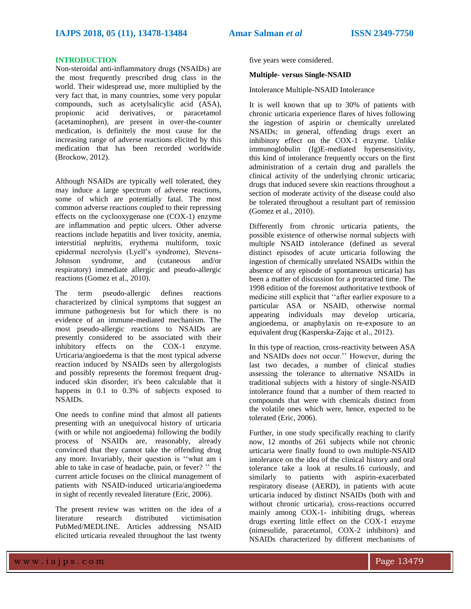#### **INTRODUCTION**

Non-steroidal anti-inflammatory drugs (NSAIDs) are the most frequently prescribed drug class in the world. Their widespread use, more multiplied by the very fact that, in many countries, some very popular compounds, such as acetylsalicylic acid (ASA), propionic acid derivatives, or paracetamol (acetaminophen), are present in over-the-counter medication, is definitely the most cause for the increasing range of adverse reactions elicited by this medication that has been recorded worldwide (Brockow, 2012).

Although NSAIDs are typically well tolerated, they may induce a large spectrum of adverse reactions, some of which are potentially fatal. The most common adverse reactions coupled to their repressing effects on the cyclooxygenase one (COX-1) enzyme are inflammation and peptic ulcers. Other adverse reactions include hepatitis and liver toxicity, anemia, interstitial nephritis, erythema multiform, toxic epidermal necrolysis (Lyell's syndrome), Stevens-Johnson syndrome, and (cutaneous and/or respiratory) immediate allergic and pseudo-allergic reactions (Gomez et al., 2010).

The term pseudo-allergic defines reactions characterized by clinical symptoms that suggest an immune pathogenesis but for which there is no evidence of an immune-mediated mechanism. The most pseudo-allergic reactions to NSAIDs are presently considered to be associated with their inhibitory effects on the COX-1 enzyme. Urticaria/angioedema is that the most typical adverse reaction induced by NSAIDs seen by allergologists and possibly represents the foremost frequent druginduced skin disorder; it's been calculable that it happens in 0.1 to 0.3% of subjects exposed to NSAIDs.

One needs to confine mind that almost all patients presenting with an unequivocal history of urticaria (with or while not angioedema) following the bodily process of NSAIDs are, reasonably, already convinced that they cannot take the offending drug any more. Invariably, their question is ''what am i able to take in case of headache, pain, or fever? '' the current article focuses on the clinical management of patients with NSAID-induced urticaria/angioedema in sight of recently revealed literature (Eric, 2006).

The present review was written on the idea of a literature research distributed victimisation PubMed/MEDLINE. Articles addressing NSAID elicited urticaria revealed throughout the last twenty

five years were considered.

#### **Multiple- versus Single-NSAID**

Intolerance Multiple-NSAID Intolerance

It is well known that up to 30% of patients with chronic urticaria experience flares of hives following the ingestion of aspirin or chemically unrelated NSAIDs; in general, offending drugs exert an inhibitory effect on the COX-1 enzyme. Unlike immunoglobulin (Ig)E-mediated hypersensitivity, this kind of intolerance frequently occurs on the first administration of a certain drug and parallels the clinical activity of the underlying chronic urticaria; drugs that induced severe skin reactions throughout a section of moderate activity of the disease could also be tolerated throughout a resultant part of remission (Gomez et al., 2010).

Differently from chronic urticaria patients, the possible existence of otherwise normal subjects with multiple NSAID intolerance (defined as several distinct episodes of acute urticaria following the ingestion of chemically unrelated NSAIDs within the absence of any episode of spontaneous urticaria) has been a matter of discussion for a protracted time. The 1998 edition of the foremost authoritative textbook of medicine still explicit that ''after earlier exposure to a particular ASA or NSAID, otherwise normal appearing individuals may develop urticaria, angioedema, or anaphylaxis on re-exposure to an equivalent drug (Kasperska-Zając et al., 2012).

In this type of reaction, cross-reactivity between ASA and NSAIDs does not occur.'' However, during the last two decades, a number of clinical studies assessing the tolerance to alternative NSAIDs in traditional subjects with a history of single-NSAID intolerance found that a number of them reacted to compounds that were with chemicals distinct from the volatile ones which were, hence, expected to be tolerated (Eric, 2006).

Further, in one study specifically reaching to clarify now, 12 months of 261 subjects while not chronic urticaria were finally found to own multiple-NSAID intolerance on the idea of the clinical history and oral tolerance take a look at results.16 curiously, and similarly to patients with aspirin-exacerbated respiratory disease (AERD), in patients with acute urticaria induced by distinct NSAIDs (both with and without chronic urticaria), cross-reactions occurred mainly among COX-1- inhibiting drugs, whereas drugs exerting little effect on the COX-1 enzyme (nimesulide, paracetamol, COX-2 inhibitors) and NSAIDs characterized by different mechanisms of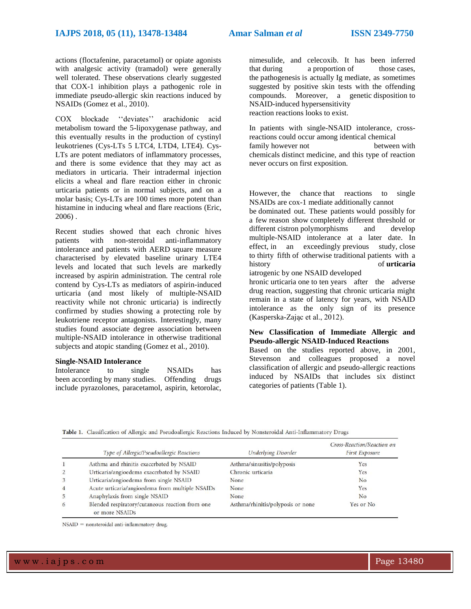actions (floctafenine, paracetamol) or opiate agonists with analgesic activity (tramadol) were generally well tolerated. These observations clearly suggested that COX-1 inhibition plays a pathogenic role in immediate pseudo-allergic skin reactions induced by NSAIDs (Gomez et al., 2010).

COX blockade ''deviates'' arachidonic acid metabolism toward the 5-lipoxygenase pathway, and this eventually results in the production of cystinyl leukotrienes (Cys-LTs 5 LTC4, LTD4, LTE4). Cys-LTs are potent mediators of inflammatory processes, and there is some evidence that they may act as mediators in urticaria. Their intradermal injection elicits a wheal and flare reaction either in chronic urticaria patients or in normal subjects, and on a molar basis; Cys-LTs are 100 times more potent than histamine in inducing wheal and flare reactions (Eric, 2006) .

Recent studies showed that each chronic hives patients with non-steroidal anti-inflammatory intolerance and patients with AERD square measure characterised by elevated baseline urinary LTE4 levels and located that such levels are markedly increased by aspirin administration. The central role contend by Cys-LTs as mediators of aspirin-induced urticaria (and most likely of multiple-NSAID reactivity while not chronic urticaria) is indirectly confirmed by studies showing a protecting role by leukotriene receptor antagonists. Interestingly, many studies found associate degree association between multiple-NSAID intolerance in otherwise traditional subjects and atopic standing (Gomez et al., 2010).

#### **Single-NSAID Intolerance**

Intolerance to single NSAIDs has been according by many studies. Offending drugs include pyrazolones, paracetamol, aspirin, ketorolac, nimesulide, and celecoxib. It has been inferred that during a proportion of those cases. the pathogenesis is actually Ig mediate, as sometimes suggested by positive skin tests with the offending compounds. Moreover, a genetic disposition to NSAID-induced hypersensitivity reaction reactions looks to exist.

In patients with single-NSAID intolerance, crossreactions could occur among identical chemical family however not between with chemicals distinct medicine, and this type of reaction never occurs on first exposition.

However, the chance that reactions to single NSAIDs are cox-1 mediate additionally cannot

be dominated out. These patients would possibly for a few reason show completely different threshold or different cistron polymorphisms and develop multiple-NSAID intolerance at a later date. In effect, in an exceedingly previous study, close to thirty fifth of otherwise traditional patients with a history of **urticaria**

iatrogenic by one NSAID developed

hronic urticaria one to ten years after the adverse drug reaction, suggesting that chronic urticaria might remain in a state of latency for years, with NSAID intolerance as the only sign of its presence (Kasperska-Zając et al., 2012).

#### **New Classification of Immediate Allergic and Pseudo-allergic NSAID-Induced Reactions**

Based on the studies reported above, in 2001, Stevenson and colleagues proposed a novel classification of allergic and pseudo-allergic reactions induced by NSAIDs that includes six distinct categories of patients (Table 1).

Cross-Reaction/Reaction on

|                | Type of Allergic/Pseudoallergic Reactions                         | <b>Underlying Disorder</b>        | Cross Itementary Itements on<br><b>First Exposure</b> |
|----------------|-------------------------------------------------------------------|-----------------------------------|-------------------------------------------------------|
| $\mathbf{1}$   | Asthma and rhinitis exacerbated by NSAID                          | Asthma/sinusitis/polyposis        | Yes                                                   |
| 2              | Urticaria/angioedema exacerbated by NSAID                         | Chronic urticaria                 | Yes                                                   |
| 3              | Urticaria/angioedema from single NSAID                            | None                              | No                                                    |
| $\overline{4}$ | Acute urticaria/angioedema from multiple NSAIDs                   | None                              | Yes                                                   |
|                | Anaphylaxis from single NSAID                                     | None                              | No                                                    |
| 6              | Blended respiratory/cutaneous reaction from one<br>or more NSAIDs | Asthma/rhinitis/polyposis or none | Yes or No                                             |

Table 1. Classification of Allergic and Pseudoallergic Reactions Induced by Nonsteroidal Anti-Inflammatory Drugs

 $NSAID = nonsteroidal anti-inflammatory drug.$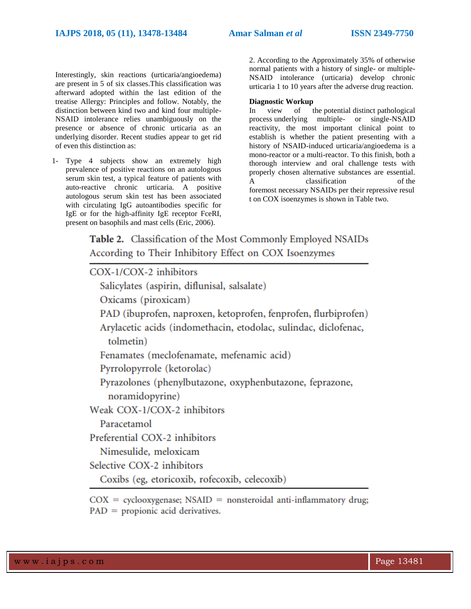Interestingly, skin reactions (urticaria/angioedema) are present in 5 of six classes.This classification was afterward adopted within the last edition of the treatise Allergy: Principles and follow. Notably, the distinction between kind two and kind four multiple-NSAID intolerance relies unambiguously on the presence or absence of chronic urticaria as an underlying disorder. Recent studies appear to get rid of even this distinction as:

1- Type 4 subjects show an extremely high prevalence of positive reactions on an autologous serum skin test, a typical feature of patients with auto-reactive chronic urticaria. A positive autologous serum skin test has been associated with circulating IgG autoantibodies specific for IgE or for the high-affinity IgE receptor FceRI, present on basophils and mast cells (Eric, 2006).

2. According to the Approximately 35% of otherwise normal patients with a history of single- or multiple-NSAID intolerance (urticaria) develop chronic urticaria 1 to 10 years after the adverse drug reaction.

#### **Diagnostic Workup**

In view of the potential distinct pathological process underlying multiple- or single-NSAID reactivity, the most important clinical point to establish is whether the patient presenting with a history of NSAID-induced urticaria/angioedema is a mono-reactor or a multi-reactor. To this finish, both a thorough interview and oral challenge tests with properly chosen alternative substances are essential. A classification of the foremost necessary NSAIDs per their repressive resul t on COX isoenzymes is shown in Table two.

Table 2. Classification of the Most Commonly Employed NSAIDs According to Their Inhibitory Effect on COX Isoenzymes

| COX-1/COX-2 inhibitors                                                |
|-----------------------------------------------------------------------|
| Salicylates (aspirin, diflunisal, salsalate)                          |
| Oxicams (piroxicam)                                                   |
| PAD (ibuprofen, naproxen, ketoprofen, fenprofen, flurbiprofen)        |
| Arylacetic acids (indomethacin, etodolac, sulindac, diclofenac,       |
| tolmetin)                                                             |
| Fenamates (meclofenamate, mefenamic acid)                             |
| Pyrrolopyrrole (ketorolac)                                            |
| Pyrazolones (phenylbutazone, oxyphenbutazone, feprazone,              |
| noramidopyrine)                                                       |
| Weak COX-1/COX-2 inhibitors                                           |
| Paracetamol                                                           |
| Preferential COX-2 inhibitors                                         |
| Nimesulide, meloxicam                                                 |
| Selective COX-2 inhibitors                                            |
| Coxibs (eg, etoricoxib, rofecoxib, celecoxib)                         |
| $COX = cyclooxygenase$ ; NSAID = nonsteroidal anti-inflammatory drug; |

 $PAD =$  propionic acid derivatives.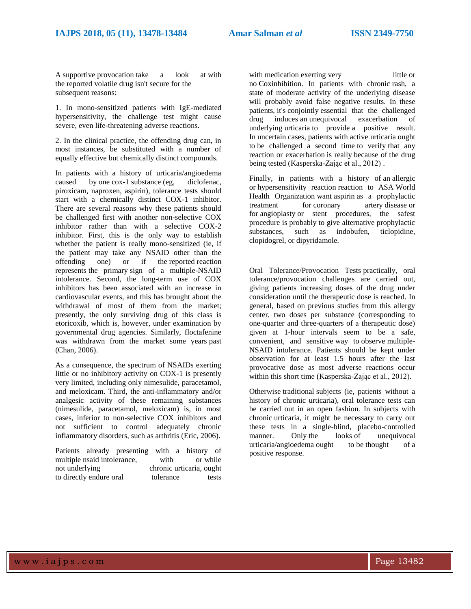A supportive provocation take a look at with the reported volatile drug isn't secure for the subsequent reasons:

1. In mono-sensitized patients with IgE-mediated hypersensitivity, the challenge test might cause severe, even life-threatening adverse reactions.

2. In the clinical practice, the offending drug can, in most instances, be substituted with a number of equally effective but chemically distinct compounds.

In patients with a history of urticaria/angioedema caused by one cox-1 substance (eg, diclofenac, piroxicam, naproxen, aspirin), tolerance tests should start with a chemically distinct COX-1 inhibitor. There are several reasons why these patients should be challenged first with another non-selective COX inhibitor rather than with a selective COX-2 inhibitor. First, this is the only way to establish whether the patient is really mono-sensitized (ie, if the patient may take any NSAID other than the offending one) or if the reported reaction one) or if the reported reaction represents the primary sign of a multiple-NSAID intolerance. Second, the long-term use of COX inhibitors has been associated with an increase in cardiovascular events, and this has brought about the withdrawal of most of them from the market; presently, the only surviving drug of this class is etoricoxib, which is, however, under examination by governmental drug agencies. Similarly, floctafenine was withdrawn from the market some years past (Chan, 2006).

As a consequence, the spectrum of NSAIDs exerting little or no inhibitory activity on COX-1 is presently very limited, including only nimesulide, paracetamol, and meloxicam. Third, the anti-inflammatory and/or analgesic activity of these remaining substances (nimesulide, paracetamol, meloxicam) is, in most cases, inferior to non-selective COX inhibitors and not sufficient to control adequately chronic inflammatory disorders, such as arthritis (Eric, 2006).

Patients already presenting with a history of multiple nsaid intolerance, with or while not underlying chronic urticaria, ought to directly endure oral tolerance tests

with medication exerting very little or no Coxinhibition. In patients with chronic rash, a state of moderate activity of the underlying disease will probably avoid false negative results. In these patients, it's conjointly essential that the challenged<br>drug induces an unequivocal exacerbation of  $drug$  induces an unequivocal underlying urticaria to provide a positive result. In uncertain cases, patients with active urticaria ought to be challenged a second time to verify that any reaction or exacerbation is really because of the drug being tested (Kasperska-Zając et al., 2012) .

Finally, in patients with a history of an allergic or hypersensitivity reaction reaction to ASA World Health Organization want aspirin as a prophylactic treatment for coronary artery disease or for angioplasty or stent procedures, the safest procedure is probably to give alternative prophylactic substances, such as indobufen, ticlopidine, clopidogrel, or dipyridamole.

Oral Tolerance/Provocation Tests practically, oral tolerance/provocation challenges are carried out, giving patients increasing doses of the drug under consideration until the therapeutic dose is reached. In general, based on previous studies from this allergy center, two doses per substance (corresponding to one-quarter and three-quarters of a therapeutic dose) given at 1-hour intervals seem to be a safe, convenient, and sensitive way to observe multiple-NSAID intolerance. Patients should be kept under observation for at least 1.5 hours after the last provocative dose as most adverse reactions occur within this short time (Kasperska-Zając et al., 2012).

Otherwise traditional subjects (ie, patients without a history of chronic urticaria), oral tolerance tests can be carried out in an open fashion. In subjects with chronic urticaria, it might be necessary to carry out these tests in a single-blind, placebo-controlled manner. Only the looks of unequivocal urticaria/angioedema ought to be thought of a positive response.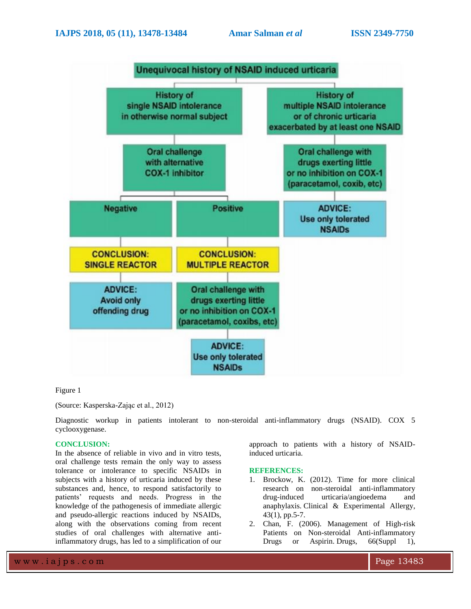

#### Figure 1

#### (Source: Kasperska-Zając et al., 2012)

Diagnostic workup in patients intolerant to non-steroidal anti-inflammatory drugs (NSAID). COX 5 cyclooxygenase.

#### **CONCLUSION:**

In the absence of reliable in vivo and in vitro tests, oral challenge tests remain the only way to assess tolerance or intolerance to specific NSAIDs in subjects with a history of urticaria induced by these substances and, hence, to respond satisfactorily to patients' requests and needs. Progress in the knowledge of the pathogenesis of immediate allergic and pseudo-allergic reactions induced by NSAIDs, along with the observations coming from recent studies of oral challenges with alternative antiinflammatory drugs, has led to a simplification of our

### **REFERENCES:**

induced urticaria.

1. Brockow, K. (2012). Time for more clinical research on non-steroidal anti-inflammatory drug-induced urticaria/angioedema and anaphylaxis. Clinical & Experimental Allergy, 43(1), pp.5-7.

approach to patients with a history of NSAID-

2. Chan, F. (2006). Management of High-risk Patients on Non-steroidal Anti-inflammatory Drugs or Aspirin. Drugs,  $66(Suppl 1)$ ,